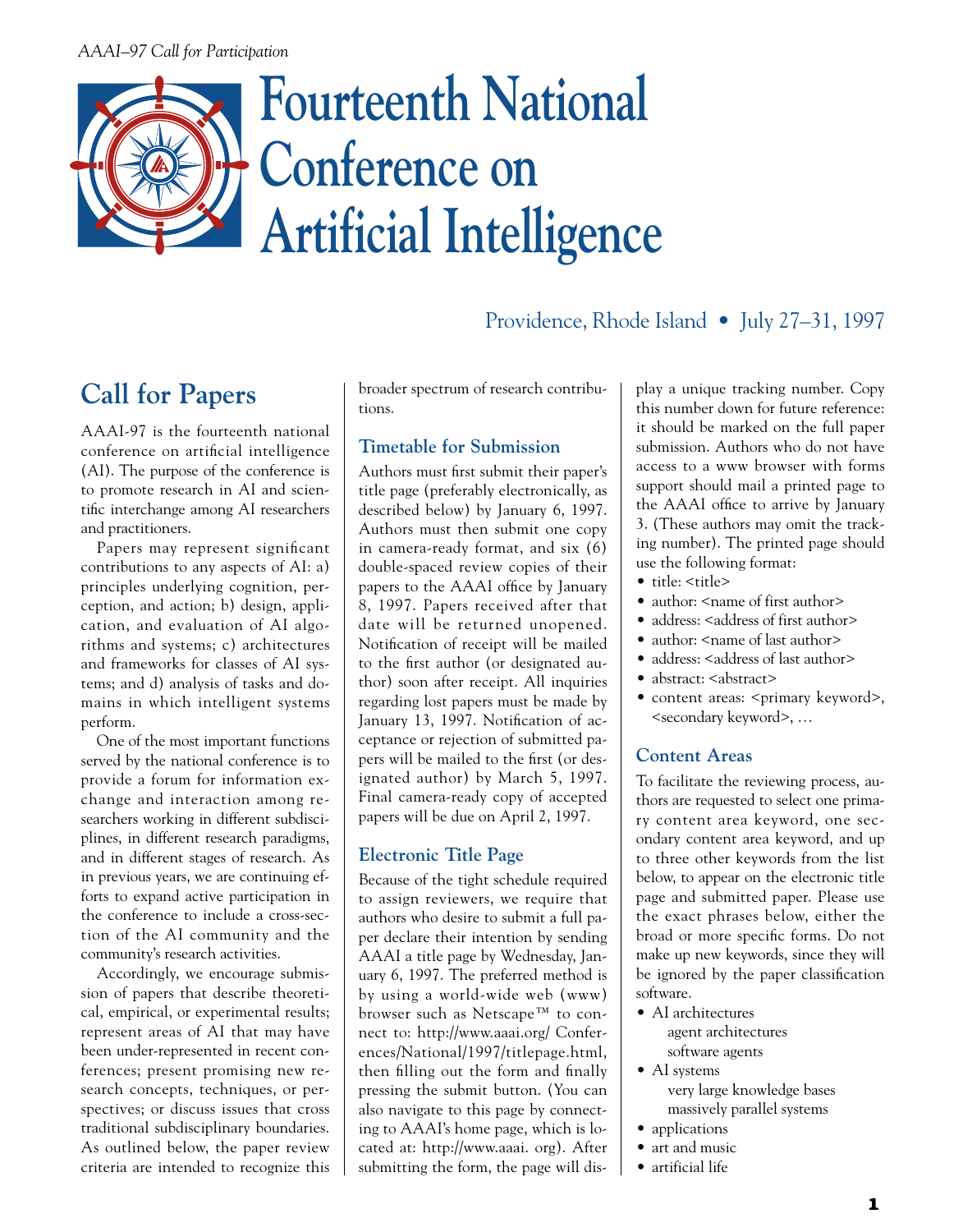#### *AAAI–97 Call for Participation*

# **Fourteenth National Conference on Artificial Intelligence**

# Providence, Rhode Island • July 27–31, 1997

# **Call for Papers**

AAAI-97 is the fourteenth national conference on artificial intelligence (AI). The purpose of the conference is to promote research in AI and scientific interchange among AI researchers and practitioners.

Papers may represent significant contributions to any aspects of AI: a) principles underlying cognition, perception, and action; b) design, application, and evaluation of AI algorithms and systems; c) architectures and frameworks for classes of AI systems; and d) analysis of tasks and domains in which intelligent systems perform.

One of the most important functions served by the national conference is to provide a forum for information exchange and interaction among researchers working in different subdisciplines, in different research paradigms, and in different stages of research. As in previous years, we are continuing efforts to expand active participation in the conference to include a cross-section of the AI community and the community's research activities.

Accordingly, we encourage submission of papers that describe theoretical, empirical, or experimental results; represent areas of AI that may have been under-represented in recent conferences; present promising new research concepts, techniques, or perspectives; or discuss issues that cross traditional subdisciplinary boundaries. As outlined below, the paper review criteria are intended to recognize this

broader spectrum of research contributions.

#### **Timetable for Submission**

Authors must first submit their paper's title page (preferably electronically, as described below) by January 6, 1997. Authors must then submit one copy in camera-ready format, and six (6) double-spaced review copies of their papers to the AAAI office by January 8, 1997. Papers received after that date will be returned unopened. Notification of receipt will be mailed to the first author (or designated author) soon after receipt. All inquiries regarding lost papers must be made by January 13, 1997. Notification of acceptance or rejection of submitted papers will be mailed to the first (or designated author) by March 5, 1997. Final camera-ready copy of accepted papers will be due on April 2, 1997.

#### **Electronic Title Page**

Because of the tight schedule required to assign reviewers, we require that authors who desire to submit a full paper declare their intention by sending AAAI a title page by Wednesday, January 6, 1997. The preferred method is by using a world-wide web (www) browser such as Netscape™ to connect to: http://www.aaai.org/ Conferences/National/1997/titlepage.html, then filling out the form and finally pressing the submit button. (You can also navigate to this page by connecting to AAAI's home page, which is located at: http://www.aaai. org). After submitting the form, the page will display a unique tracking number. Copy this number down for future reference: it should be marked on the full paper submission. Authors who do not have access to a www browser with forms support should mail a printed page to the AAAI office to arrive by January 3. (These authors may omit the tracking number). The printed page should use the following format:

- title: <title>
- author: <name of first author>
- address: <address of first author>
- author: <name of last author>
- address: <address of last author>
- abstract: <abstract>
- content areas: <primary keyword>, <secondary keyword>, …

#### **Content Areas**

To facilitate the reviewing process, authors are requested to select one primary content area keyword, one secondary content area keyword, and up to three other keywords from the list below, to appear on the electronic title page and submitted paper. Please use the exact phrases below, either the broad or more specific forms. Do not make up new keywords, since they will be ignored by the paper classification software.

- AI architectures agent architectures software agents
- AI systems

very large knowledge bases massively parallel systems

- applications
- art and music
- artificial life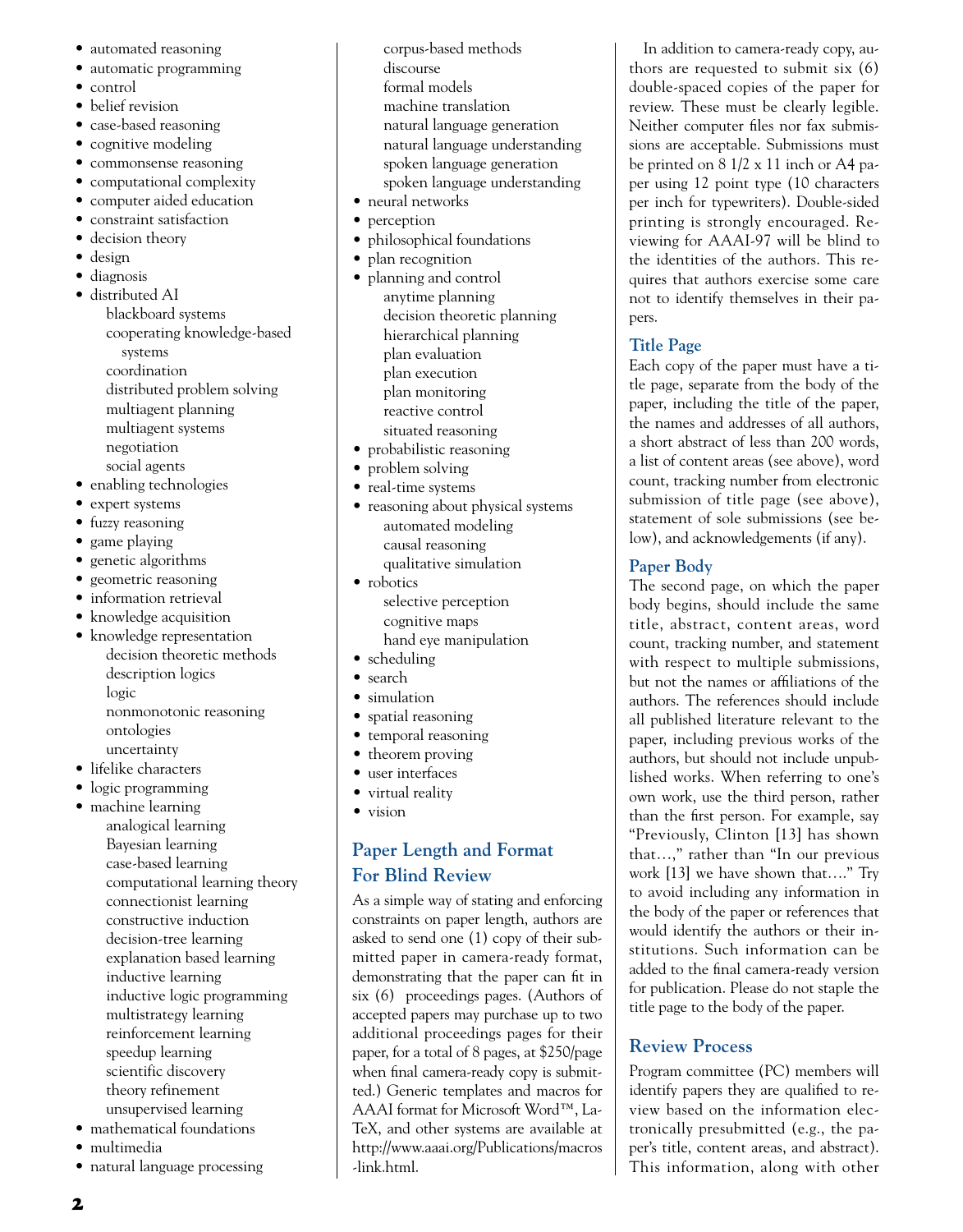- automated reasoning
- automatic programming
- control
- belief revision
- case-based reasoning
- cognitive modeling
- commonsense reasoning
- computational complexity
- computer aided education
- constraint satisfaction
- decision theory
- design
- diagnosis
- distributed AI blackboard systems cooperating knowledge-based systems coordination distributed problem solving multiagent planning multiagent systems negotiation social agents
- enabling technologies
- expert systems
- fuzzy reasoning
- game playing
- genetic algorithms
- geometric reasoning
- information retrieval
- knowledge acquisition
- knowledge representation decision theoretic methods description logics logic nonmonotonic reasoning ontologies
- uncertainty
- lifelike characters
- logic programming
- machine learning
	- analogical learning Bayesian learning case-based learning computational learning theory connectionist learning constructive induction decision-tree learning explanation based learning inductive learning inductive logic programming multistrategy learning reinforcement learning speedup learning scientific discovery theory refinement unsupervised learning
- mathematical foundations
- multimedia
- natural language processing
- corpus-based methods discourse formal models machine translation natural language generation natural language understanding spoken language generation spoken language understanding
- neural networks
- perception
- philosophical foundations
- plan recognition
- planning and control anytime planning decision theoretic planning hierarchical planning plan evaluation plan execution plan monitoring reactive control situated reasoning
- probabilistic reasoning
- problem solving
- real-time systems
- reasoning about physical systems automated modeling causal reasoning qualitative simulation
- robotics
	- selective perception cognitive maps
	- hand eye manipulation
- scheduling
- search
- simulation
- spatial reasoning
- temporal reasoning
- theorem proving
- user interfaces • virtual reality
- vision

# **Paper Length and Format For Blind Review**

As a simple way of stating and enforcing constraints on paper length, authors are asked to send one (1) copy of their submitted paper in camera-ready format, demonstrating that the paper can fit in six (6) proceedings pages. (Authors of accepted papers may purchase up to two additional proceedings pages for their paper, for a total of 8 pages, at \$250/page when final camera-ready copy is submitted.) Generic templates and macros for AAAI format for Microsoft Word™, La-TeX, and other systems are available at http://www.aaai.org/Publications/macros -link.html.

In addition to camera-ready copy, authors are requested to submit six (6) double-spaced copies of the paper for review. These must be clearly legible. Neither computer files nor fax submissions are acceptable. Submissions must be printed on 8 1/2 x 11 inch or A4 paper using 12 point type (10 characters per inch for typewriters). Double-sided printing is strongly encouraged. Reviewing for AAAI-97 will be blind to the identities of the authors. This requires that authors exercise some care not to identify themselves in their papers.

#### **Title Page**

Each copy of the paper must have a title page, separate from the body of the paper, including the title of the paper, the names and addresses of all authors, a short abstract of less than 200 words, a list of content areas (see above), word count, tracking number from electronic submission of title page (see above), statement of sole submissions (see below), and acknowledgements (if any).

#### **Paper Body**

The second page, on which the paper body begins, should include the same title, abstract, content areas, word count, tracking number, and statement with respect to multiple submissions, but not the names or affiliations of the authors. The references should include all published literature relevant to the paper, including previous works of the authors, but should not include unpublished works. When referring to one's own work, use the third person, rather than the first person. For example, say "Previously, Clinton [13] has shown that…," rather than "In our previous work [13] we have shown that…." Try to avoid including any information in the body of the paper or references that would identify the authors or their institutions. Such information can be added to the final camera-ready version for publication. Please do not staple the title page to the body of the paper.

# **Review Process**

Program committee (PC) members will identify papers they are qualified to review based on the information electronically presubmitted (e.g., the paper's title, content areas, and abstract). This information, along with other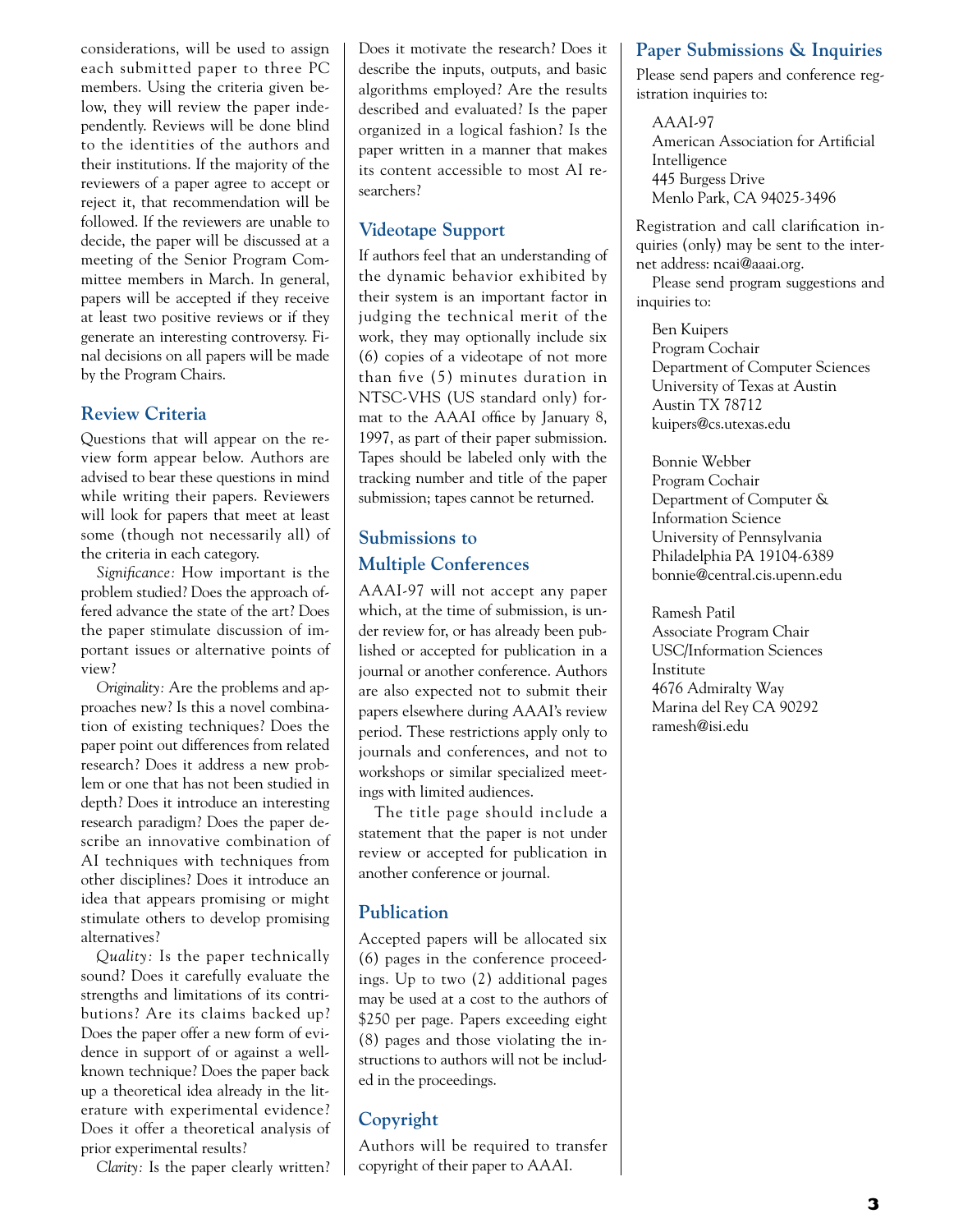considerations, will be used to assign each submitted paper to three PC members. Using the criteria given below, they will review the paper independently. Reviews will be done blind to the identities of the authors and their institutions. If the majority of the reviewers of a paper agree to accept or reject it, that recommendation will be followed. If the reviewers are unable to decide, the paper will be discussed at a meeting of the Senior Program Committee members in March. In general, papers will be accepted if they receive at least two positive reviews or if they generate an interesting controversy. Final decisions on all papers will be made by the Program Chairs.

#### **Review Criteria**

Questions that will appear on the review form appear below. Authors are advised to bear these questions in mind while writing their papers. Reviewers will look for papers that meet at least some (though not necessarily all) of the criteria in each category.

*Significance:* How important is the problem studied? Does the approach offered advance the state of the art? Does the paper stimulate discussion of important issues or alternative points of view?

*Originality:* Are the problems and approaches new? Is this a novel combination of existing techniques? Does the paper point out differences from related research? Does it address a new problem or one that has not been studied in depth? Does it introduce an interesting research paradigm? Does the paper describe an innovative combination of AI techniques with techniques from other disciplines? Does it introduce an idea that appears promising or might stimulate others to develop promising alternatives?

*Quality:* Is the paper technically sound? Does it carefully evaluate the strengths and limitations of its contributions? Are its claims backed up? Does the paper offer a new form of evidence in support of or against a wellknown technique? Does the paper back up a theoretical idea already in the literature with experimental evidence? Does it offer a theoretical analysis of prior experimental results?

*Clarity:* Is the paper clearly written?

Does it motivate the research? Does it describe the inputs, outputs, and basic algorithms employed? Are the results described and evaluated? Is the paper organized in a logical fashion? Is the paper written in a manner that makes its content accessible to most AI researchers?

#### **Videotape Support**

If authors feel that an understanding of the dynamic behavior exhibited by their system is an important factor in judging the technical merit of the work, they may optionally include six (6) copies of a videotape of not more than five (5) minutes duration in NTSC-VHS (US standard only) format to the AAAI office by January 8, 1997, as part of their paper submission. Tapes should be labeled only with the tracking number and title of the paper submission; tapes cannot be returned.

## **Submissions to Multiple Conferences**

AAAI-97 will not accept any paper which, at the time of submission, is under review for, or has already been published or accepted for publication in a journal or another conference. Authors are also expected not to submit their papers elsewhere during AAAI's review period. These restrictions apply only to journals and conferences, and not to workshops or similar specialized meetings with limited audiences.

The title page should include a statement that the paper is not under review or accepted for publication in another conference or journal.

#### **Publication**

Accepted papers will be allocated six (6) pages in the conference proceedings. Up to two (2) additional pages may be used at a cost to the authors of \$250 per page. Papers exceeding eight (8) pages and those violating the instructions to authors will not be included in the proceedings.

#### **Copyright**

Authors will be required to transfer copyright of their paper to AAAI.

#### **Paper Submissions & Inquiries**

Please send papers and conference registration inquiries to:

AAAI-97 American Association for Artificial Intelligence 445 Burgess Drive Menlo Park, CA 94025-3496

Registration and call clarification inquiries (only) may be sent to the internet address: ncai@aaai.org.

Please send program suggestions and inquiries to:

Ben Kuipers Program Cochair Department of Computer Sciences University of Texas at Austin Austin TX 78712 kuipers@cs.utexas.edu

Bonnie Webber Program Cochair Department of Computer & Information Science University of Pennsylvania Philadelphia PA 19104-6389 bonnie@central.cis.upenn.edu

Ramesh Patil Associate Program Chair USC/Information Sciences Institute 4676 Admiralty Way Marina del Rey CA 90292 ramesh@isi.edu